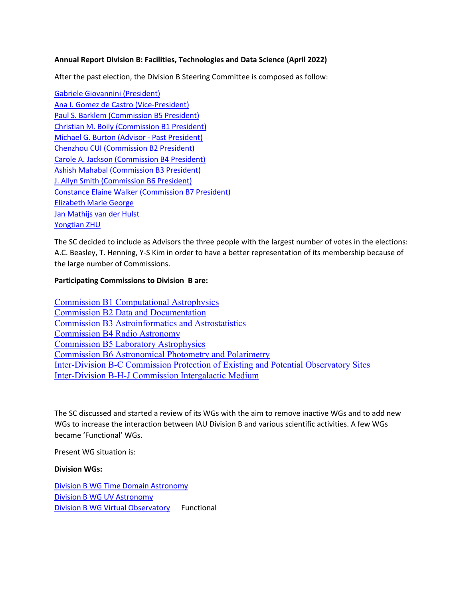# **Annual Report Division B: Facilities, Technologies and Data Science (April 2022)**

After the past election, the Division B Steering Committee is composed as follow:

Gabriele Giovannini (President) Ana I. Gomez de Castro (Vice-President) Paul S. Barklem (Commission B5 President) Christian M. Boily (Commission B1 President) Michael G. Burton (Advisor - Past President) Chenzhou CUI (Commission B2 President) Carole A. Jackson (Commission B4 President) Ashish Mahabal (Commission B3 President) J. Allyn Smith (Commission B6 President) Constance Elaine Walker (Commission B7 President) Elizabeth Marie George Jan Mathijs van der Hulst Yongtian ZHU

The SC decided to include as Advisors the three people with the largest number of votes in the elections: A.C. Beasley, T. Henning, Y-S Kim in order to have a better representation of its membership because of the large number of Commissions.

## **Participating Commissions to Division B are:**

Commission B1 Computational Astrophysics Commission B2 Data and Documentation Commission B3 Astroinformatics and Astrostatistics Commission B4 Radio Astronomy Commission B5 Laboratory Astrophysics Commission B6 Astronomical Photometry and Polarimetry Inter-Division B-C Commission Protection of Existing and Potential Observatory Sites Inter-Division B-H-J Commission Intergalactic Medium

The SC discussed and started a review of its WGs with the aim to remove inactive WGs and to add new WGs to increase the interaction between IAU Division B and various scientific activities. A few WGs became 'Functional' WGs.

Present WG situation is:

## **Division WGs:**

Division B WG Time Domain Astronomy Division B WG UV Astronomy Division B WG Virtual Observatory Functional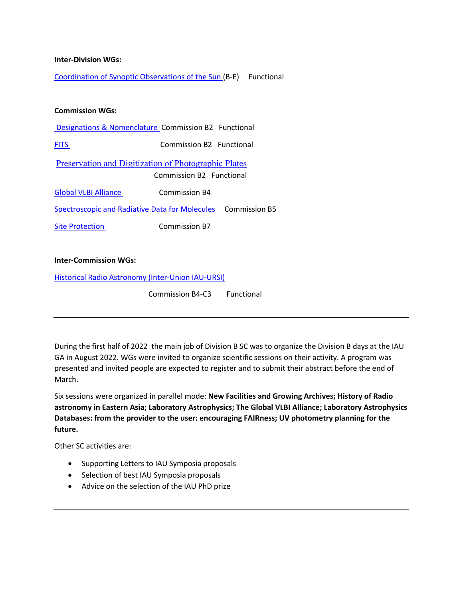### **Inter-Division WGs:**

Coordination of Synoptic Observations of the Sun (B-E) Functional

### **Commission WGs:**

| Designations & Nomenclature Commission B2 Functional |  |  |
|------------------------------------------------------|--|--|
|------------------------------------------------------|--|--|

FITS Commission B2 Functional

Preservation and Digitization of Photographic Plates Commission B2 Functional

Global VLBI Alliance **Commission B4** 

Spectroscopic and Radiative Data for Molecules Commission B5

Site Protection Commission B7

### **Inter-Commission WGs:**

Historical Radio Astronomy (Inter-Union IAU-URSI)

Commission B4-C3 Functional

During the first half of 2022 the main job of Division B SC was to organize the Division B days at the IAU GA in August 2022. WGs were invited to organize scientific sessions on their activity. A program was presented and invited people are expected to register and to submit their abstract before the end of March.

Six sessions were organized in parallel mode: **New Facilities and Growing Archives; History of Radio astronomy in Eastern Asia; Laboratory Astrophysics; The Global VLBI Alliance; Laboratory Astrophysics Databases: from the provider to the user: encouraging FAIRness; UV photometry planning for the future.**

Other SC activities are:

- Supporting Letters to IAU Symposia proposals
- Selection of best IAU Symposia proposals
- Advice on the selection of the IAU PhD prize